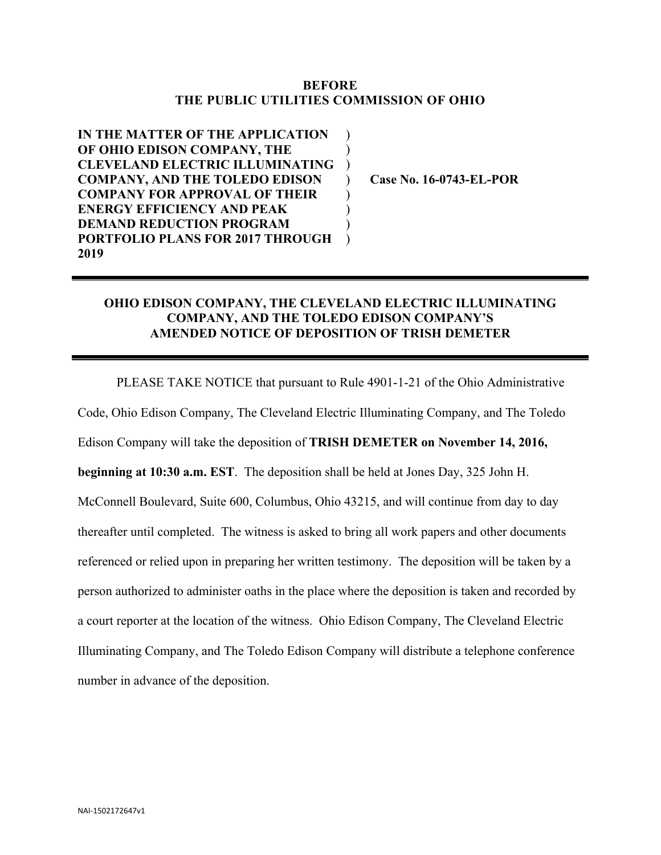## **BEFORE THE PUBLIC UTILITIES COMMISSION OF OHIO**

 $\mathcal{L}$  $\mathcal{L}$ )  $\mathcal{L}$  $\mathcal{L}$  $\mathcal{L}$ )  $\mathcal{L}$ 

**IN THE MATTER OF THE APPLICATION OF OHIO EDISON COMPANY, THE CLEVELAND ELECTRIC ILLUMINATING COMPANY, AND THE TOLEDO EDISON COMPANY FOR APPROVAL OF THEIR ENERGY EFFICIENCY AND PEAK DEMAND REDUCTION PROGRAM PORTFOLIO PLANS FOR 2017 THROUGH 2019**

**Case No. 16-0743-EL-POR**

## **OHIO EDISON COMPANY, THE CLEVELAND ELECTRIC ILLUMINATING COMPANY, AND THE TOLEDO EDISON COMPANY'S AMENDED NOTICE OF DEPOSITION OF TRISH DEMETER**

PLEASE TAKE NOTICE that pursuant to Rule 4901-1-21 of the Ohio Administrative Code, Ohio Edison Company, The Cleveland Electric Illuminating Company, and The Toledo Edison Company will take the deposition of **TRISH DEMETER on November 14, 2016, beginning at 10:30 a.m. EST**. The deposition shall be held at Jones Day, 325 John H. McConnell Boulevard, Suite 600, Columbus, Ohio 43215, and will continue from day to day thereafter until completed. The witness is asked to bring all work papers and other documents referenced or relied upon in preparing her written testimony. The deposition will be taken by a person authorized to administer oaths in the place where the deposition is taken and recorded by a court reporter at the location of the witness. Ohio Edison Company, The Cleveland Electric Illuminating Company, and The Toledo Edison Company will distribute a telephone conference number in advance of the deposition.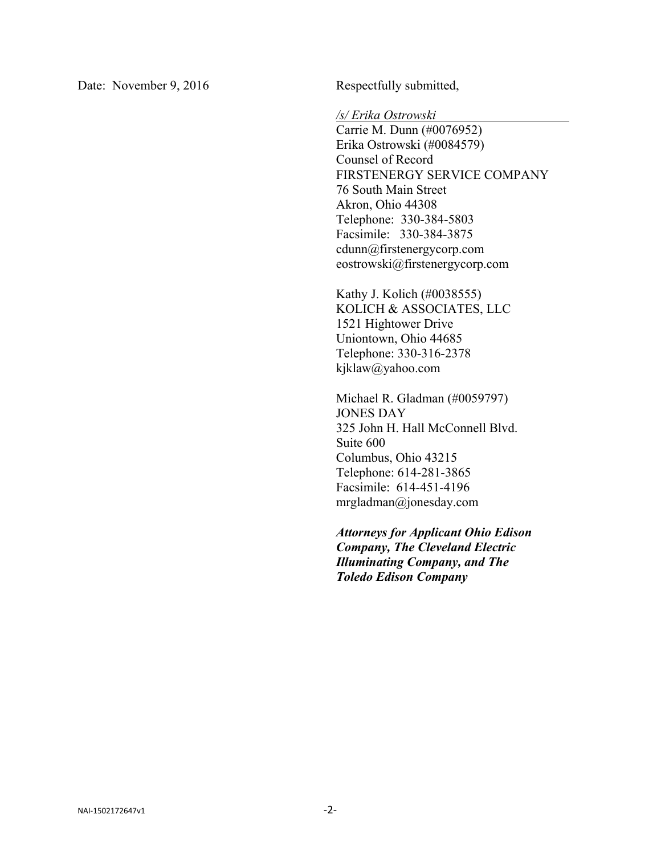Date: November 9, 2016 Respectfully submitted,

*/s/ Erika Ostrowski* 

Carrie M. Dunn (#0076952) Erika Ostrowski (#0084579) Counsel of Record FIRSTENERGY SERVICE COMPANY 76 South Main Street Akron, Ohio 44308 Telephone: 330-384-5803 Facsimile: 330-384-3875 cdunn@firstenergycorp.com eostrowski@firstenergycorp.com

Kathy J. Kolich (#0038555) KOLICH & ASSOCIATES, LLC 1521 Hightower Drive Uniontown, Ohio 44685 Telephone: 330-316-2378 kjklaw@yahoo.com

Michael R. Gladman (#0059797) JONES DAY 325 John H. Hall McConnell Blvd. Suite 600 Columbus, Ohio 43215 Telephone: 614-281-3865 Facsimile: 614-451-4196 mrgladman@jonesday.com

*Attorneys for Applicant Ohio Edison Company, The Cleveland Electric Illuminating Company, and The Toledo Edison Company*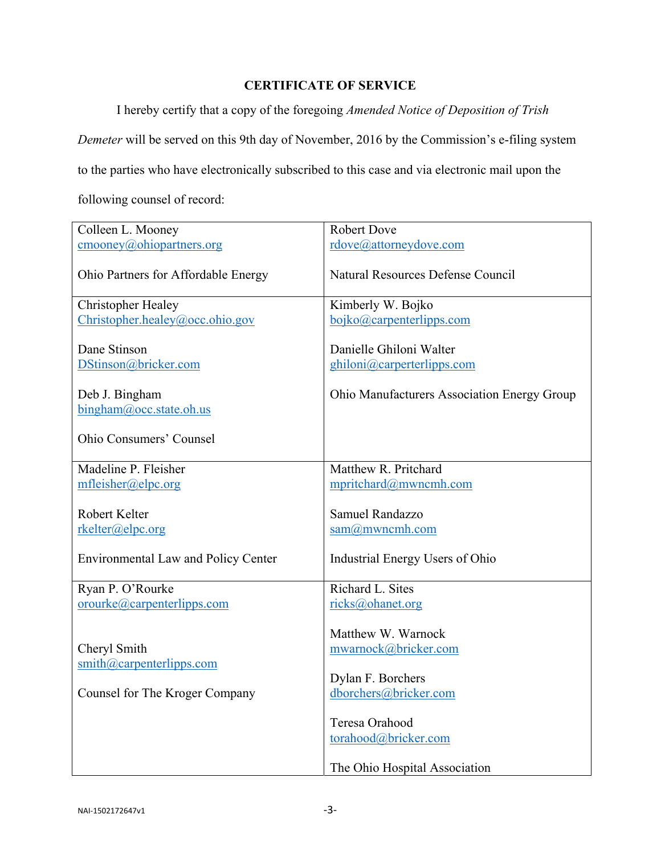## **CERTIFICATE OF SERVICE**

I hereby certify that a copy of the foregoing *Amended Notice of Deposition of Trish* 

*Demeter* will be served on this 9th day of November, 2016 by the Commission's e-filing system

to the parties who have electronically subscribed to this case and via electronic mail upon the

following counsel of record:

| Colleen L. Mooney                                                               | <b>Robert Dove</b>                                                      |
|---------------------------------------------------------------------------------|-------------------------------------------------------------------------|
| $\text{cmooney}(a)$ ohiopartners.org                                            | rdove@attorneydove.com                                                  |
| Ohio Partners for Affordable Energy                                             | <b>Natural Resources Defense Council</b>                                |
| <b>Christopher Healey</b>                                                       | Kimberly W. Bojko                                                       |
| Christopher.healey@occ.ohio.gov                                                 | bojko@carpenterlipps.com                                                |
| Dane Stinson<br>DStinson@bricker.com                                            | Danielle Ghiloni Walter<br>ghiloni@carperterlipps.com                   |
| Deb J. Bingham<br>bingham@occ.state.oh.us                                       | Ohio Manufacturers Association Energy Group                             |
| Ohio Consumers' Counsel                                                         |                                                                         |
| Madeline P. Fleisher                                                            | Matthew R. Pritchard                                                    |
| mfleisher@elpc.org                                                              | mpritchard@mwncmh.com                                                   |
| Robert Kelter<br>rkelter@elpc.org<br><b>Environmental Law and Policy Center</b> | Samuel Randazzo<br>$sam@m$ wncmh.com<br>Industrial Energy Users of Ohio |
| Ryan P. O'Rourke                                                                | Richard L. Sites                                                        |
| orourke@carpenterlipps.com                                                      | ricks@ohanet.org                                                        |
| Cheryl Smith<br>$\sinith(\omega)$ carpenterlipps.com                            | Matthew W. Warnock<br>mwarnock@bricker.com<br>Dylan F. Borchers         |
| Counsel for The Kroger Company                                                  | dborchers@bricker.com                                                   |
|                                                                                 | Teresa Orahood<br>torahood@bricker.com<br>The Ohio Hospital Association |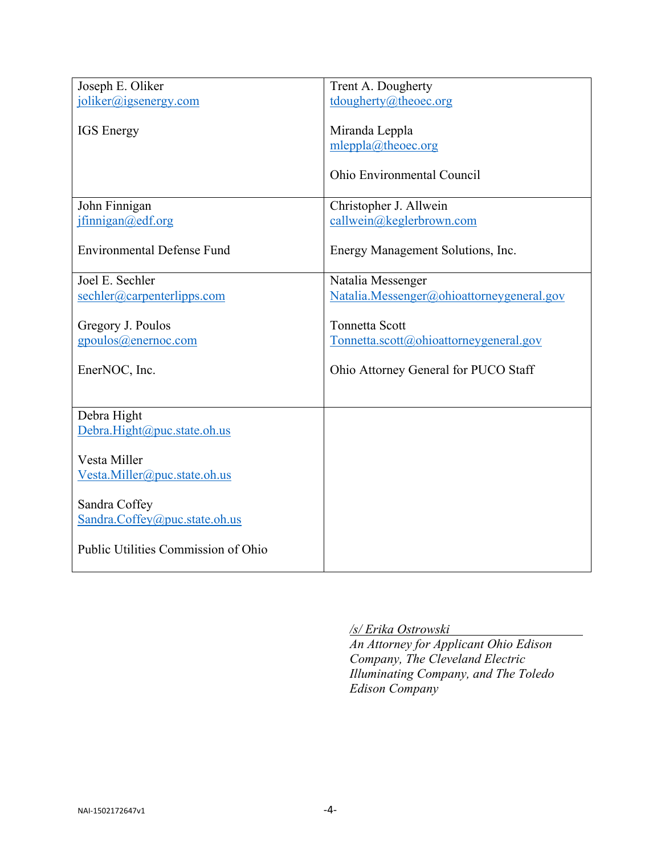| joliker@igsenergy.com<br>tdougherty@theoec.org<br><b>IGS</b> Energy<br>Miranda Leppla<br>mleppla@theoec.org<br>Ohio Environmental Council<br>Christopher J. Allwein<br>John Finnigan<br>ifining an @edf.org<br>callwein@keglerbrown.com<br><b>Environmental Defense Fund</b><br>Energy Management Solutions, Inc.<br>Joel E. Sechler<br>Natalia Messenger<br>sechler@carpenterlipps.com<br>Natalia.Messenger@ohioattorneygeneral.gov<br><b>Tonnetta Scott</b><br>Gregory J. Poulos<br>gpoulos@enernoc.com<br>Tonnetta.scott@ohioattorneygeneral.gov<br>EnerNOC, Inc.<br>Ohio Attorney General for PUCO Staff<br>Debra Hight<br>Debra.Hight@puc.state.oh.us<br>Vesta Miller<br>Vesta.Miller@puc.state.oh.us<br>Sandra Coffey<br>Sandra.Coffey@puc.state.oh.us<br>Public Utilities Commission of Ohio |                  |                    |
|-----------------------------------------------------------------------------------------------------------------------------------------------------------------------------------------------------------------------------------------------------------------------------------------------------------------------------------------------------------------------------------------------------------------------------------------------------------------------------------------------------------------------------------------------------------------------------------------------------------------------------------------------------------------------------------------------------------------------------------------------------------------------------------------------------|------------------|--------------------|
|                                                                                                                                                                                                                                                                                                                                                                                                                                                                                                                                                                                                                                                                                                                                                                                                     | Joseph E. Oliker | Trent A. Dougherty |
|                                                                                                                                                                                                                                                                                                                                                                                                                                                                                                                                                                                                                                                                                                                                                                                                     |                  |                    |
|                                                                                                                                                                                                                                                                                                                                                                                                                                                                                                                                                                                                                                                                                                                                                                                                     |                  |                    |
|                                                                                                                                                                                                                                                                                                                                                                                                                                                                                                                                                                                                                                                                                                                                                                                                     |                  |                    |
|                                                                                                                                                                                                                                                                                                                                                                                                                                                                                                                                                                                                                                                                                                                                                                                                     |                  |                    |
|                                                                                                                                                                                                                                                                                                                                                                                                                                                                                                                                                                                                                                                                                                                                                                                                     |                  |                    |
|                                                                                                                                                                                                                                                                                                                                                                                                                                                                                                                                                                                                                                                                                                                                                                                                     |                  |                    |
|                                                                                                                                                                                                                                                                                                                                                                                                                                                                                                                                                                                                                                                                                                                                                                                                     |                  |                    |
|                                                                                                                                                                                                                                                                                                                                                                                                                                                                                                                                                                                                                                                                                                                                                                                                     |                  |                    |
|                                                                                                                                                                                                                                                                                                                                                                                                                                                                                                                                                                                                                                                                                                                                                                                                     |                  |                    |
|                                                                                                                                                                                                                                                                                                                                                                                                                                                                                                                                                                                                                                                                                                                                                                                                     |                  |                    |
|                                                                                                                                                                                                                                                                                                                                                                                                                                                                                                                                                                                                                                                                                                                                                                                                     |                  |                    |
|                                                                                                                                                                                                                                                                                                                                                                                                                                                                                                                                                                                                                                                                                                                                                                                                     |                  |                    |
|                                                                                                                                                                                                                                                                                                                                                                                                                                                                                                                                                                                                                                                                                                                                                                                                     |                  |                    |
|                                                                                                                                                                                                                                                                                                                                                                                                                                                                                                                                                                                                                                                                                                                                                                                                     |                  |                    |
|                                                                                                                                                                                                                                                                                                                                                                                                                                                                                                                                                                                                                                                                                                                                                                                                     |                  |                    |
|                                                                                                                                                                                                                                                                                                                                                                                                                                                                                                                                                                                                                                                                                                                                                                                                     |                  |                    |
|                                                                                                                                                                                                                                                                                                                                                                                                                                                                                                                                                                                                                                                                                                                                                                                                     |                  |                    |
|                                                                                                                                                                                                                                                                                                                                                                                                                                                                                                                                                                                                                                                                                                                                                                                                     |                  |                    |
|                                                                                                                                                                                                                                                                                                                                                                                                                                                                                                                                                                                                                                                                                                                                                                                                     |                  |                    |
|                                                                                                                                                                                                                                                                                                                                                                                                                                                                                                                                                                                                                                                                                                                                                                                                     |                  |                    |
|                                                                                                                                                                                                                                                                                                                                                                                                                                                                                                                                                                                                                                                                                                                                                                                                     |                  |                    |
|                                                                                                                                                                                                                                                                                                                                                                                                                                                                                                                                                                                                                                                                                                                                                                                                     |                  |                    |
|                                                                                                                                                                                                                                                                                                                                                                                                                                                                                                                                                                                                                                                                                                                                                                                                     |                  |                    |
|                                                                                                                                                                                                                                                                                                                                                                                                                                                                                                                                                                                                                                                                                                                                                                                                     |                  |                    |
|                                                                                                                                                                                                                                                                                                                                                                                                                                                                                                                                                                                                                                                                                                                                                                                                     |                  |                    |
|                                                                                                                                                                                                                                                                                                                                                                                                                                                                                                                                                                                                                                                                                                                                                                                                     |                  |                    |
|                                                                                                                                                                                                                                                                                                                                                                                                                                                                                                                                                                                                                                                                                                                                                                                                     |                  |                    |
|                                                                                                                                                                                                                                                                                                                                                                                                                                                                                                                                                                                                                                                                                                                                                                                                     |                  |                    |
|                                                                                                                                                                                                                                                                                                                                                                                                                                                                                                                                                                                                                                                                                                                                                                                                     |                  |                    |
|                                                                                                                                                                                                                                                                                                                                                                                                                                                                                                                                                                                                                                                                                                                                                                                                     |                  |                    |
|                                                                                                                                                                                                                                                                                                                                                                                                                                                                                                                                                                                                                                                                                                                                                                                                     |                  |                    |
|                                                                                                                                                                                                                                                                                                                                                                                                                                                                                                                                                                                                                                                                                                                                                                                                     |                  |                    |
|                                                                                                                                                                                                                                                                                                                                                                                                                                                                                                                                                                                                                                                                                                                                                                                                     |                  |                    |
|                                                                                                                                                                                                                                                                                                                                                                                                                                                                                                                                                                                                                                                                                                                                                                                                     |                  |                    |
|                                                                                                                                                                                                                                                                                                                                                                                                                                                                                                                                                                                                                                                                                                                                                                                                     |                  |                    |
|                                                                                                                                                                                                                                                                                                                                                                                                                                                                                                                                                                                                                                                                                                                                                                                                     |                  |                    |
|                                                                                                                                                                                                                                                                                                                                                                                                                                                                                                                                                                                                                                                                                                                                                                                                     |                  |                    |

*/s/ Erika Ostrowski* 

*An Attorney for Applicant Ohio Edison Company, The Cleveland Electric Illuminating Company, and The Toledo Edison Company*